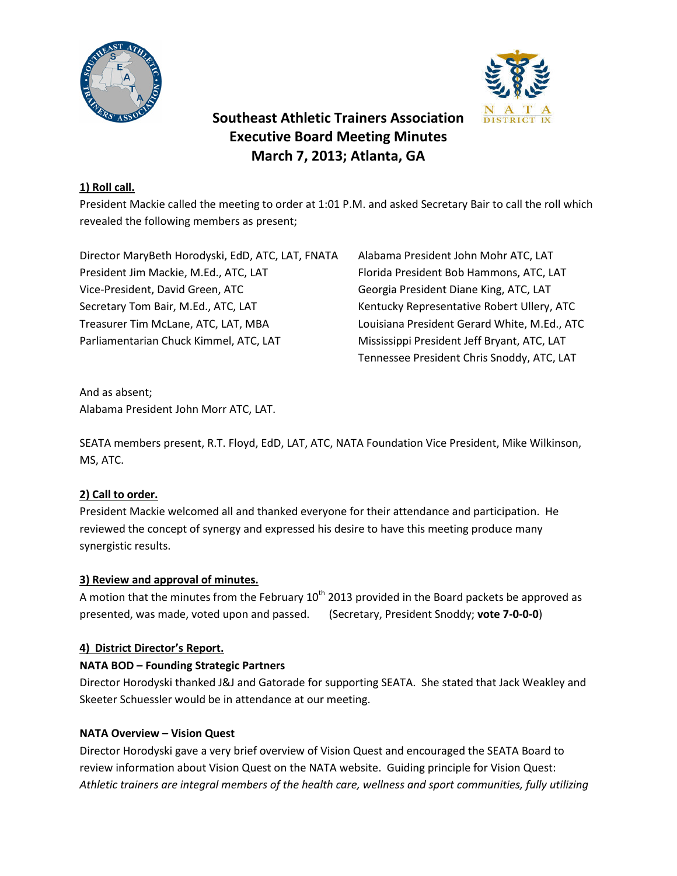



# **Southeast Athletic Trainers Association Executive Board Meeting Minutes March 7, 2013; Atlanta, GA**

# **1) Roll call.**

President Mackie called the meeting to order at 1:01 P.M. and asked Secretary Bair to call the roll which revealed the following members as present;

Director MaryBeth Horodyski, EdD, ATC, LAT, FNATA Alabama President John Mohr ATC, LAT President Jim Mackie, M.Ed., ATC, LAT Florida President Bob Hammons, ATC, LAT Vice-President, David Green, ATC Georgia President Diane King, ATC, LAT Secretary Tom Bair, M.Ed., ATC, LAT Kentucky Representative Robert Ullery, ATC Treasurer Tim McLane, ATC, LAT, MBA Louisiana President Gerard White, M.Ed., ATC Parliamentarian Chuck Kimmel, ATC, LAT Mississippi President Jeff Bryant, ATC, LAT

Tennessee President Chris Snoddy, ATC, LAT

And as absent; Alabama President John Morr ATC, LAT.

SEATA members present, R.T. Floyd, EdD, LAT, ATC, NATA Foundation Vice President, Mike Wilkinson, MS, ATC.

# **2) Call to order.**

President Mackie welcomed all and thanked everyone for their attendance and participation. He reviewed the concept of synergy and expressed his desire to have this meeting produce many synergistic results.

### **3) Review and approval of minutes.**

A motion that the minutes from the February  $10^{th}$  2013 provided in the Board packets be approved as presented, was made, voted upon and passed. (Secretary, President Snoddy; **vote 7-0-0-0**)

# **4) District Director's Report.**

### **NATA BOD – Founding Strategic Partners**

Director Horodyski thanked J&J and Gatorade for supporting SEATA. She stated that Jack Weakley and Skeeter Schuessler would be in attendance at our meeting.

### **NATA Overview – Vision Quest**

Director Horodyski gave a very brief overview of Vision Quest and encouraged the SEATA Board to review information about Vision Quest on the NATA website. Guiding principle for Vision Quest: *Athletic trainers are integral members of the health care, wellness and sport communities, fully utilizing*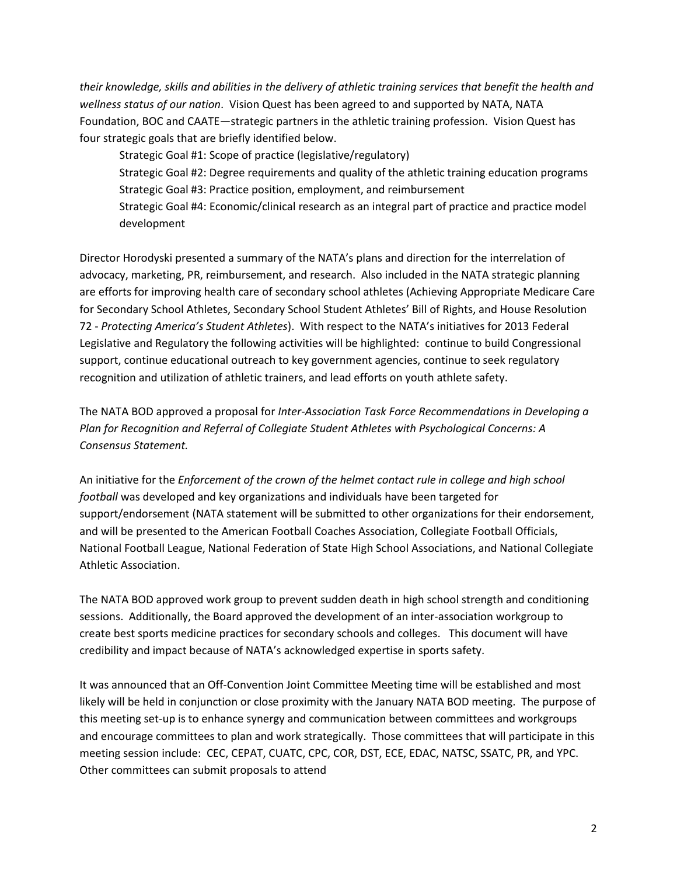*their knowledge, skills and abilities in the delivery of athletic training services that benefit the health and wellness status of our nation*. Vision Quest has been agreed to and supported by NATA, NATA Foundation, BOC and CAATE—strategic partners in the athletic training profession. Vision Quest has four strategic goals that are briefly identified below.

Strategic Goal #1: Scope of practice (legislative/regulatory) Strategic Goal #2: Degree requirements and quality of the athletic training education programs Strategic Goal #3: Practice position, employment, and reimbursement Strategic Goal #4: Economic/clinical research as an integral part of practice and practice model development

Director Horodyski presented a summary of the NATA's plans and direction for the interrelation of advocacy, marketing, PR, reimbursement, and research. Also included in the NATA strategic planning are efforts for improving health care of secondary school athletes (Achieving Appropriate Medicare Care for Secondary School Athletes, Secondary School Student Athletes' Bill of Rights, and House Resolution 72 - *Protecting America's Student Athletes*). With respect to the NATA's initiatives for 2013 Federal Legislative and Regulatory the following activities will be highlighted: continue to build Congressional support, continue educational outreach to key government agencies, continue to seek regulatory recognition and utilization of athletic trainers, and lead efforts on youth athlete safety.

The NATA BOD approved a proposal for *Inter-Association Task Force Recommendations in Developing a Plan for Recognition and Referral of Collegiate Student Athletes with Psychological Concerns: A Consensus Statement.*

An initiative for the *Enforcement of the crown of the helmet contact rule in college and high school football* was developed and key organizations and individuals have been targeted for support/endorsement (NATA statement will be submitted to other organizations for their endorsement, and will be presented to the American Football Coaches Association, Collegiate Football Officials, National Football League, National Federation of State High School Associations, and National Collegiate Athletic Association.

The NATA BOD approved work group to prevent sudden death in high school strength and conditioning sessions. Additionally, the Board approved the development of an inter-association workgroup to create best sports medicine practices for secondary schools and colleges. This document will have credibility and impact because of NATA's acknowledged expertise in sports safety.

It was announced that an Off-Convention Joint Committee Meeting time will be established and most likely will be held in conjunction or close proximity with the January NATA BOD meeting. The purpose of this meeting set-up is to enhance synergy and communication between committees and workgroups and encourage committees to plan and work strategically. Those committees that will participate in this meeting session include: CEC, CEPAT, CUATC, CPC, COR, DST, ECE, EDAC, NATSC, SSATC, PR, and YPC. Other committees can submit proposals to attend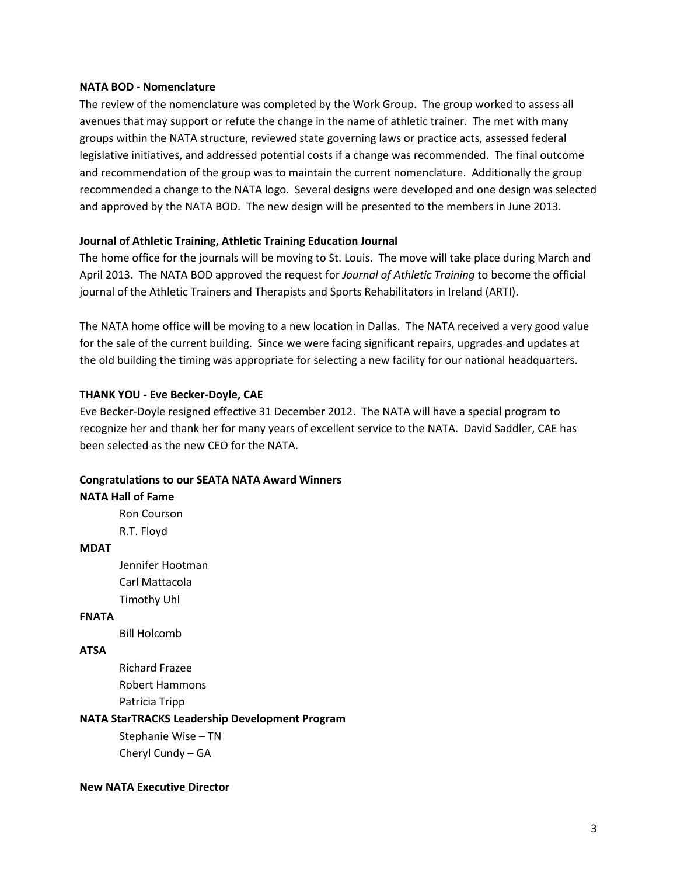#### **NATA BOD - Nomenclature**

The review of the nomenclature was completed by the Work Group. The group worked to assess all avenues that may support or refute the change in the name of athletic trainer. The met with many groups within the NATA structure, reviewed state governing laws or practice acts, assessed federal legislative initiatives, and addressed potential costs if a change was recommended. The final outcome and recommendation of the group was to maintain the current nomenclature. Additionally the group recommended a change to the NATA logo. Several designs were developed and one design was selected and approved by the NATA BOD. The new design will be presented to the members in June 2013.

#### **Journal of Athletic Training, Athletic Training Education Journal**

The home office for the journals will be moving to St. Louis. The move will take place during March and April 2013. The NATA BOD approved the request for *Journal of Athletic Training* to become the official journal of the Athletic Trainers and Therapists and Sports Rehabilitators in Ireland (ARTI).

The NATA home office will be moving to a new location in Dallas. The NATA received a very good value for the sale of the current building. Since we were facing significant repairs, upgrades and updates at the old building the timing was appropriate for selecting a new facility for our national headquarters.

#### **THANK YOU - Eve Becker-Doyle, CAE**

Eve Becker-Doyle resigned effective 31 December 2012. The NATA will have a special program to recognize her and thank her for many years of excellent service to the NATA. David Saddler, CAE has been selected as the new CEO for the NATA.

#### **Congratulations to our SEATA NATA Award Winners**

#### **NATA Hall of Fame**

Ron Courson R.T. Floyd

#### **MDAT**

Jennifer Hootman Carl Mattacola Timothy Uhl

#### **FNATA**

Bill Holcomb

#### **ATSA**

Richard Frazee Robert Hammons Patricia Tripp

#### **NATA StarTRACKS Leadership Development Program**

Stephanie Wise – TN Cheryl Cundy – GA

#### **New NATA Executive Director**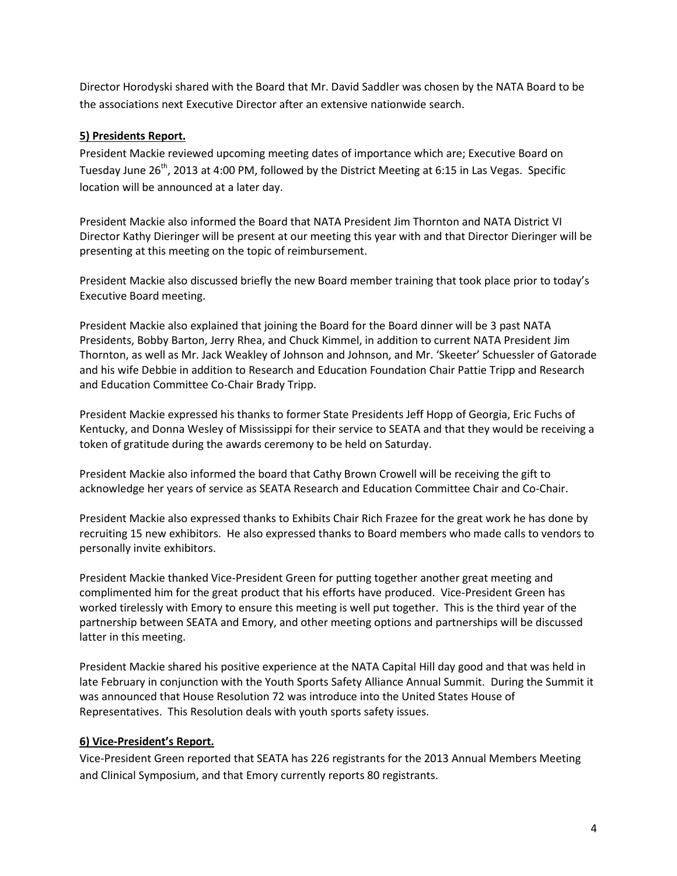Director Horodyski shared with the Board that Mr. David Saddler was chosen by the NATA Board to be the associations next Executive Director after an extensive nationwide search.

## **5) Presidents Report.**

President Mackie reviewed upcoming meeting dates of importance which are; Executive Board on Tuesday June 26<sup>th</sup>, 2013 at 4:00 PM, followed by the District Meeting at 6:15 in Las Vegas. Specific location will be announced at a later day.

President Mackie also informed the Board that NATA President Jim Thornton and NATA District VI Director Kathy Dieringer will be present at our meeting this year with and that Director Dieringer will be presenting at this meeting on the topic of reimbursement.

President Mackie also discussed briefly the new Board member training that took place prior to today's Executive Board meeting.

President Mackie also explained that joining the Board for the Board dinner will be 3 past NATA Presidents, Bobby Barton, Jerry Rhea, and Chuck Kimmel, in addition to current NATA President Jim Thornton, as well as Mr. Jack Weakley of Johnson and Johnson, and Mr. 'Skeeter' Schuessler of Gatorade and his wife Debbie in addition to Research and Education Foundation Chair Pattie Tripp and Research and Education Committee Co-Chair Brady Tripp.

President Mackie expressed his thanks to former State Presidents Jeff Hopp of Georgia, Eric Fuchs of Kentucky, and Donna Wesley of Mississippi for their service to SEATA and that they would be receiving a token of gratitude during the awards ceremony to be held on Saturday.

President Mackie also informed the board that Cathy Brown Crowell will be receiving the gift to acknowledge her years of service as SEATA Research and Education Committee Chair and Co-Chair.

President Mackie also expressed thanks to Exhibits Chair Rich Frazee for the great work he has done by recruiting 15 new exhibitors. He also expressed thanks to Board members who made calls to vendors to personally invite exhibitors.

President Mackie thanked Vice-President Green for putting together another great meeting and complimented him for the great product that his efforts have produced. Vice-President Green has worked tirelessly with Emory to ensure this meeting is well put together. This is the third year of the partnership between SEATA and Emory, and other meeting options and partnerships will be discussed latter in this meeting.

President Mackie shared his positive experience at the NATA Capital Hill day good and that was held in late February in conjunction with the Youth Sports Safety Alliance Annual Summit. During the Summit it was announced that House Resolution 72 was introduce into the United States House of Representatives. This Resolution deals with youth sports safety issues.

### **6) Vice-President's Report.**

Vice-President Green reported that SEATA has 226 registrants for the 2013 Annual Members Meeting and Clinical Symposium, and that Emory currently reports 80 registrants.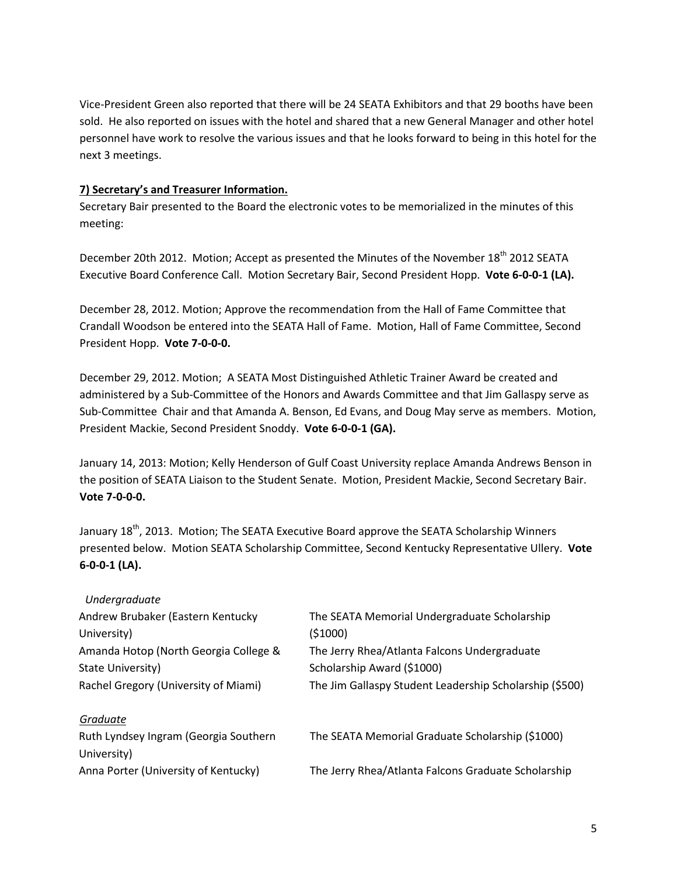Vice-President Green also reported that there will be 24 SEATA Exhibitors and that 29 booths have been sold. He also reported on issues with the hotel and shared that a new General Manager and other hotel personnel have work to resolve the various issues and that he looks forward to being in this hotel for the next 3 meetings.

## **7) Secretary's and Treasurer Information.**

Secretary Bair presented to the Board the electronic votes to be memorialized in the minutes of this meeting:

December 20th 2012. Motion; Accept as presented the Minutes of the November 18<sup>th</sup> 2012 SEATA Executive Board Conference Call. Motion Secretary Bair, Second President Hopp. **Vote 6-0-0-1 (LA).**

December 28, 2012. Motion; Approve the recommendation from the Hall of Fame Committee that Crandall Woodson be entered into the SEATA Hall of Fame. Motion, Hall of Fame Committee, Second President Hopp. **Vote 7-0-0-0.**

December 29, 2012. Motion; A SEATA Most Distinguished Athletic Trainer Award be created and administered by a Sub-Committee of the Honors and Awards Committee and that Jim Gallaspy serve as Sub-Committee Chair and that Amanda A. Benson, Ed Evans, and Doug May serve as members. Motion, President Mackie, Second President Snoddy. **Vote 6-0-0-1 (GA).**

January 14, 2013: Motion; Kelly Henderson of Gulf Coast University replace Amanda Andrews Benson in the position of SEATA Liaison to the Student Senate. Motion, President Mackie, Second Secretary Bair. **Vote 7-0-0-0.**

January 18<sup>th</sup>, 2013. Motion; The SEATA Executive Board approve the SEATA Scholarship Winners presented below. Motion SEATA Scholarship Committee, Second Kentucky Representative Ullery. **Vote 6-0-0-1 (LA).**

| The SEATA Memorial Undergraduate Scholarship            |
|---------------------------------------------------------|
| (51000)                                                 |
| The Jerry Rhea/Atlanta Falcons Undergraduate            |
| Scholarship Award (\$1000)                              |
| The Jim Gallaspy Student Leadership Scholarship (\$500) |
|                                                         |
| The SEATA Memorial Graduate Scholarship (\$1000)        |
|                                                         |
| The Jerry Rhea/Atlanta Falcons Graduate Scholarship     |
|                                                         |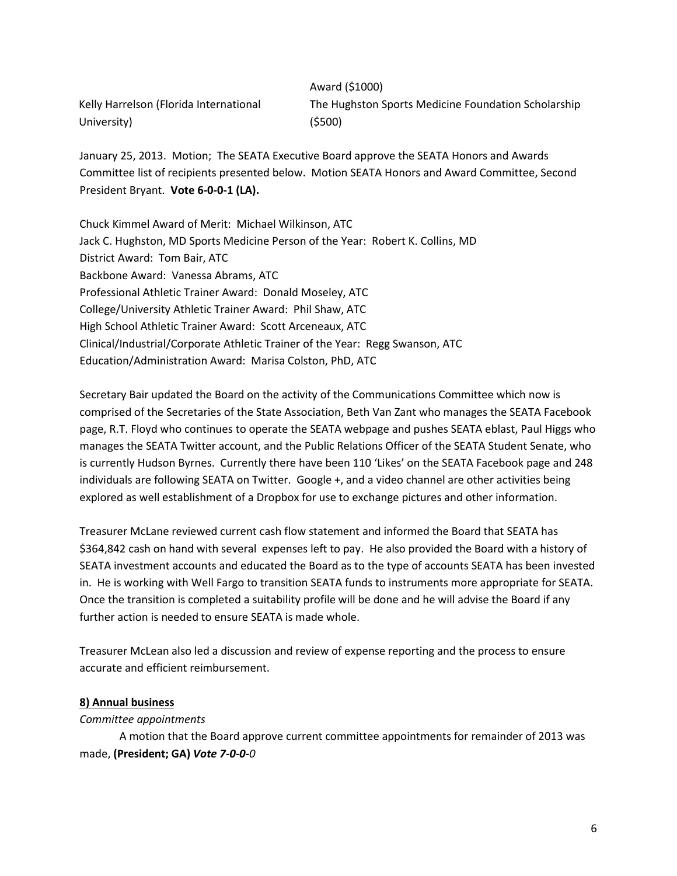Kelly Harrelson (Florida International University)

Award (\$1000) The Hughston Sports Medicine Foundation Scholarship (\$500)

January 25, 2013. Motion; The SEATA Executive Board approve the SEATA Honors and Awards Committee list of recipients presented below. Motion SEATA Honors and Award Committee, Second President Bryant. **Vote 6-0-0-1 (LA).**

Chuck Kimmel Award of Merit: Michael Wilkinson, ATC Jack C. Hughston, MD Sports Medicine Person of the Year: Robert K. Collins, MD District Award: Tom Bair, ATC Backbone Award: Vanessa Abrams, ATC Professional Athletic Trainer Award: Donald Moseley, ATC College/University Athletic Trainer Award: Phil Shaw, ATC High School Athletic Trainer Award: Scott Arceneaux, ATC Clinical/Industrial/Corporate Athletic Trainer of the Year: Regg Swanson, ATC Education/Administration Award: Marisa Colston, PhD, ATC

Secretary Bair updated the Board on the activity of the Communications Committee which now is comprised of the Secretaries of the State Association, Beth Van Zant who manages the SEATA Facebook page, R.T. Floyd who continues to operate the SEATA webpage and pushes SEATA eblast, Paul Higgs who manages the SEATA Twitter account, and the Public Relations Officer of the SEATA Student Senate, who is currently Hudson Byrnes. Currently there have been 110 'Likes' on the SEATA Facebook page and 248 individuals are following SEATA on Twitter. Google +, and a video channel are other activities being explored as well establishment of a Dropbox for use to exchange pictures and other information.

Treasurer McLane reviewed current cash flow statement and informed the Board that SEATA has \$364,842 cash on hand with several expenses left to pay. He also provided the Board with a history of SEATA investment accounts and educated the Board as to the type of accounts SEATA has been invested in. He is working with Well Fargo to transition SEATA funds to instruments more appropriate for SEATA. Once the transition is completed a suitability profile will be done and he will advise the Board if any further action is needed to ensure SEATA is made whole.

Treasurer McLean also led a discussion and review of expense reporting and the process to ensure accurate and efficient reimbursement.

#### **8) Annual business**

#### *Committee appointments*

A motion that the Board approve current committee appointments for remainder of 2013 was made, **(President; GA)** *Vote 7-0-0-0*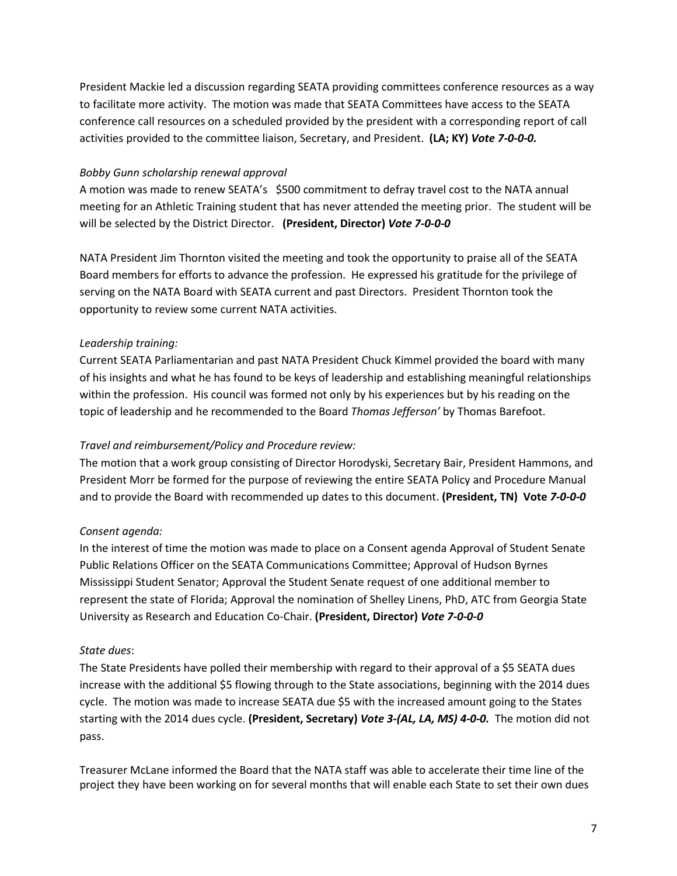President Mackie led a discussion regarding SEATA providing committees conference resources as a way to facilitate more activity. The motion was made that SEATA Committees have access to the SEATA conference call resources on a scheduled provided by the president with a corresponding report of call activities provided to the committee liaison, Secretary, and President. **(LA; KY)** *Vote 7-0-0-0.*

#### *Bobby Gunn scholarship renewal approval*

A motion was made to renew SEATA's \$500 commitment to defray travel cost to the NATA annual meeting for an Athletic Training student that has never attended the meeting prior. The student will be will be selected by the District Director. **(President, Director)** *Vote 7-0-0-0*

NATA President Jim Thornton visited the meeting and took the opportunity to praise all of the SEATA Board members for efforts to advance the profession. He expressed his gratitude for the privilege of serving on the NATA Board with SEATA current and past Directors. President Thornton took the opportunity to review some current NATA activities.

### *Leadership training:*

Current SEATA Parliamentarian and past NATA President Chuck Kimmel provided the board with many of his insights and what he has found to be keys of leadership and establishing meaningful relationships within the profession. His council was formed not only by his experiences but by his reading on the topic of leadership and he recommended to the Board *Thomas Jefferson'* by Thomas Barefoot.

### *Travel and reimbursement/Policy and Procedure review:*

The motion that a work group consisting of Director Horodyski, Secretary Bair, President Hammons, and President Morr be formed for the purpose of reviewing the entire SEATA Policy and Procedure Manual and to provide the Board with recommended up dates to this document. **(President, TN) Vote** *7-0-0-0*

### *Consent agenda:*

In the interest of time the motion was made to place on a Consent agenda Approval of Student Senate Public Relations Officer on the SEATA Communications Committee; Approval of Hudson Byrnes Mississippi Student Senator; Approval the Student Senate request of one additional member to represent the state of Florida; Approval the nomination of Shelley Linens, PhD, ATC from Georgia State University as Research and Education Co-Chair. **(President, Director)** *Vote 7-0-0-0*

### *State dues*:

The State Presidents have polled their membership with regard to their approval of a \$5 SEATA dues increase with the additional \$5 flowing through to the State associations, beginning with the 2014 dues cycle. The motion was made to increase SEATA due \$5 with the increased amount going to the States starting with the 2014 dues cycle. **(President, Secretary)** *Vote 3-(AL, LA, MS) 4-0-0.* The motion did not pass.

Treasurer McLane informed the Board that the NATA staff was able to accelerate their time line of the project they have been working on for several months that will enable each State to set their own dues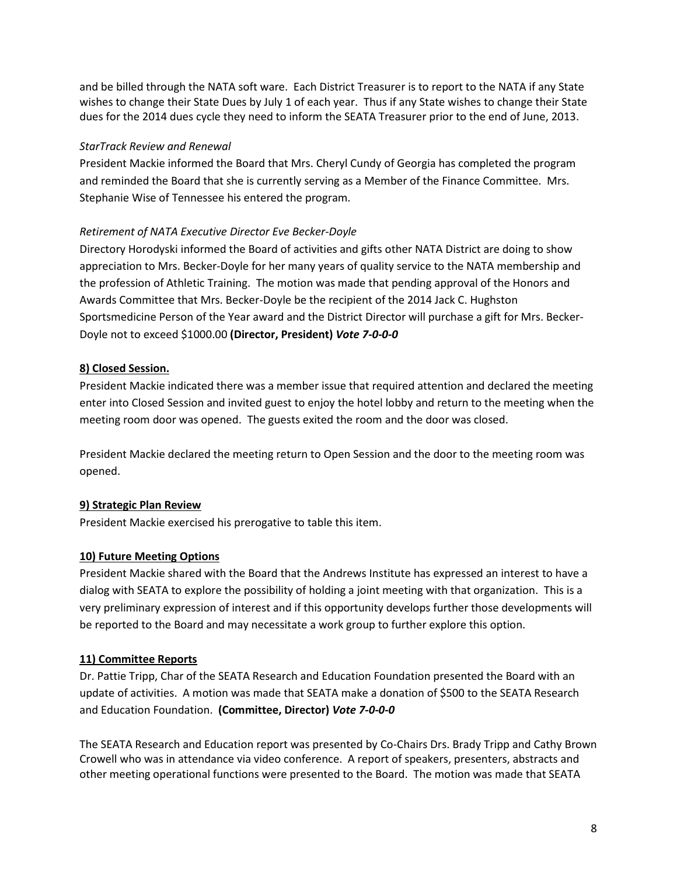and be billed through the NATA soft ware. Each District Treasurer is to report to the NATA if any State wishes to change their State Dues by July 1 of each year. Thus if any State wishes to change their State dues for the 2014 dues cycle they need to inform the SEATA Treasurer prior to the end of June, 2013.

#### *StarTrack Review and Renewal*

President Mackie informed the Board that Mrs. Cheryl Cundy of Georgia has completed the program and reminded the Board that she is currently serving as a Member of the Finance Committee. Mrs. Stephanie Wise of Tennessee his entered the program.

### *Retirement of NATA Executive Director Eve Becker-Doyle*

Directory Horodyski informed the Board of activities and gifts other NATA District are doing to show appreciation to Mrs. Becker-Doyle for her many years of quality service to the NATA membership and the profession of Athletic Training. The motion was made that pending approval of the Honors and Awards Committee that Mrs. Becker-Doyle be the recipient of the 2014 Jack C. Hughston Sportsmedicine Person of the Year award and the District Director will purchase a gift for Mrs. Becker-Doyle not to exceed \$1000.00 **(Director, President)** *Vote 7-0-0-0*

# **8) Closed Session.**

President Mackie indicated there was a member issue that required attention and declared the meeting enter into Closed Session and invited guest to enjoy the hotel lobby and return to the meeting when the meeting room door was opened. The guests exited the room and the door was closed.

President Mackie declared the meeting return to Open Session and the door to the meeting room was opened.

### **9) Strategic Plan Review**

President Mackie exercised his prerogative to table this item.

### **10) Future Meeting Options**

President Mackie shared with the Board that the Andrews Institute has expressed an interest to have a dialog with SEATA to explore the possibility of holding a joint meeting with that organization. This is a very preliminary expression of interest and if this opportunity develops further those developments will be reported to the Board and may necessitate a work group to further explore this option.

### **11) Committee Reports**

Dr. Pattie Tripp, Char of the SEATA Research and Education Foundation presented the Board with an update of activities. A motion was made that SEATA make a donation of \$500 to the SEATA Research and Education Foundation. **(Committee, Director)** *Vote 7-0-0-0*

The SEATA Research and Education report was presented by Co-Chairs Drs. Brady Tripp and Cathy Brown Crowell who was in attendance via video conference. A report of speakers, presenters, abstracts and other meeting operational functions were presented to the Board. The motion was made that SEATA